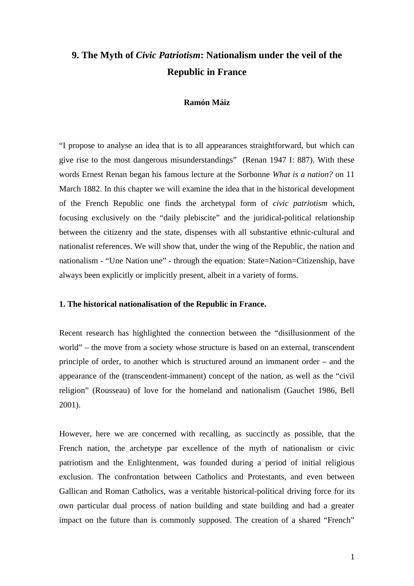# **9. The Myth of** *Civic Patriotism***: Nationalism under the veil of the Republic in France**

#### **Ramón Máiz**

"I propose to analyse an idea that is to all appearances straightforward, but which can give rise to the most dangerous misunderstandings" (Renan 1947 I: 887). With these words Ernest Renan began his famous lecture at the Sorbonne *What is a nation?* on 11 March 1882. In this chapter we will examine the idea that in the historical development of the French Republic one finds the archetypal form of *civic patriotism* which, focusing exclusively on the "daily plebiscite" and the juridical-political relationship between the citizenry and the state, dispenses with all substantive ethnic-cultural and nationalist references. We will show that, under the wing of the Republic, the nation and nationalism - "Une Nation une" - through the equation: State=Nation=Citizenship, have always been explicitly or implicitly present, albeit in a variety of forms.

#### **1. The historical nationalisation of the Republic in France.**

Recent research has highlighted the connection between the "disillusionment of the world" – the move from a society whose structure is based on an external, transcendent principle of order, to another which is structured around an immanent order – and the appearance of the (transcendent-immanent) concept of the nation, as well as the "civil religion" (Rousseau) of love for the homeland and nationalism (Gauchet 1986, Bell 2001).

However, here we are concerned with recalling, as succinctly as possible, that the French nation, the archetype par excellence of the myth of nationalism or civic patriotism and the Enlightenment, was founded during a period of initial religious exclusion. The confrontation between Catholics and Protestants, and even between Gallican and Roman Catholics, was a veritable historical-political driving force for its own particular dual process of nation building and state building and had a greater impact on the future than is commonly supposed. The creation of a shared "French"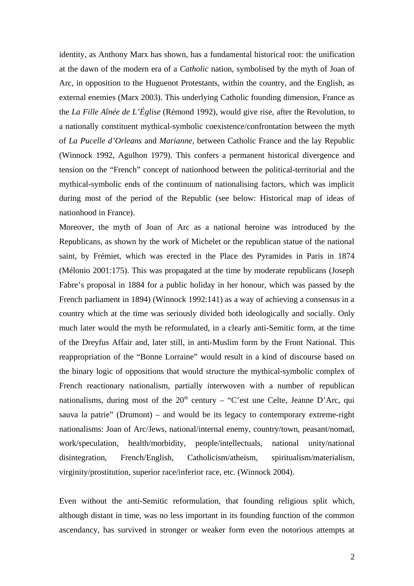identity, as Anthony Marx has shown, has a fundamental historical root: the unification at the dawn of the modern era of a *Catholic* nation, symbolised by the myth of Joan of Arc, in opposition to the Huguenot Protestants, within the country, and the English, as external enemies (Marx 2003). This underlying Catholic founding dimension, France as the *La Fille Aînée de L'Église* (Rémond 1992), would give rise, after the Revolution, to a nationally constituent mythical-symbolic coexistence/confrontation between the myth of *La Pucelle d'Orleans* and *Marianne*, between Catholic France and the lay Republic (Winnock 1992, Agulhon 1979). This confers a permanent historical divergence and tension on the "French" concept of nationhood between the political-territorial and the mythical-symbolic ends of the continuum of nationalising factors, which was implicit during most of the period of the Republic (see below: Historical map of ideas of nationhood in France).

Moreover, the myth of Joan of Arc as a national heroine was introduced by the Republicans, as shown by the work of Michelet or the republican statue of the national saint, by Frémiet, which was erected in the Place des Pyramides in Paris in 1874 (Mélonio 2001:175). This was propagated at the time by moderate republicans (Joseph Fabre's proposal in 1884 for a public holiday in her honour, which was passed by the French parliament in 1894) (Winnock 1992:141) as a way of achieving a consensus in a country which at the time was seriously divided both ideologically and socially. Only much later would the myth be reformulated, in a clearly anti-Semitic form, at the time of the Dreyfus Affair and, later still, in anti-Muslim form by the Front National. This reappropriation of the "Bonne Lorraine" would result in a kind of discourse based on the binary logic of oppositions that would structure the mythical-symbolic complex of French reactionary nationalism, partially interwoven with a number of republican nationalisms, during most of the  $20<sup>th</sup>$  century – "C'est une Celte, Jeanne D'Arc, qui sauva la patrie" (Drumont) – and would be its legacy to contemporary extreme-right nationalisms: Joan of Arc/Jews, national/internal enemy, country/town, peasant/nomad, work/speculation, health/morbidity, people/intellectuals, national unity/national disintegration, French/English, Catholicism/atheism, spiritualism/materialism, virginity/prostitution, superior race/inferior race, etc. (Winnock 2004).

Even without the anti-Semitic reformulation, that founding religious split which, although distant in time, was no less important in its founding function of the common ascendancy, has survived in stronger or weaker form even the notorious attempts at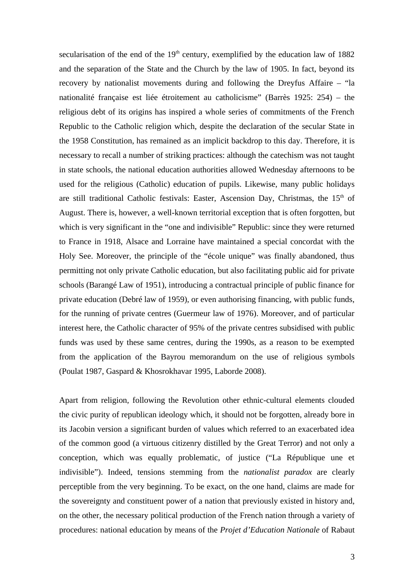secularisation of the end of the  $19<sup>th</sup>$  century, exemplified by the education law of 1882 and the separation of the State and the Church by the law of 1905. In fact, beyond its recovery by nationalist movements during and following the Dreyfus Affaire – "la nationalité française est liée étroitement au catholicisme" (Barrès 1925: 254) – the religious debt of its origins has inspired a whole series of commitments of the French Republic to the Catholic religion which, despite the declaration of the secular State in the 1958 Constitution, has remained as an implicit backdrop to this day. Therefore, it is necessary to recall a number of striking practices: although the catechism was not taught in state schools, the national education authorities allowed Wednesday afternoons to be used for the religious (Catholic) education of pupils. Likewise, many public holidays are still traditional Catholic festivals: Easter, Ascension Day, Christmas, the 15<sup>th</sup> of August. There is, however, a well-known territorial exception that is often forgotten, but which is very significant in the "one and indivisible" Republic: since they were returned to France in 1918, Alsace and Lorraine have maintained a special concordat with the Holy See. Moreover, the principle of the "école unique" was finally abandoned, thus permitting not only private Catholic education, but also facilitating public aid for private schools (Barangé Law of 1951), introducing a contractual principle of public finance for private education (Debré law of 1959), or even authorising financing, with public funds, for the running of private centres (Guermeur law of 1976). Moreover, and of particular interest here, the Catholic character of 95% of the private centres subsidised with public funds was used by these same centres, during the 1990s, as a reason to be exempted from the application of the Bayrou memorandum on the use of religious symbols (Poulat 1987, Gaspard & Khosrokhavar 1995, Laborde 2008).

Apart from religion, following the Revolution other ethnic-cultural elements clouded the civic purity of republican ideology which, it should not be forgotten, already bore in its Jacobin version a significant burden of values which referred to an exacerbated idea of the common good (a virtuous citizenry distilled by the Great Terror) and not only a conception, which was equally problematic, of justice ("La République une et indivisible"). Indeed, tensions stemming from the *nationalist paradox* are clearly perceptible from the very beginning. To be exact, on the one hand, claims are made for the sovereignty and constituent power of a nation that previously existed in history and, on the other, the necessary political production of the French nation through a variety of procedures: national education by means of the *Projet d'Education Nationale* of Rabaut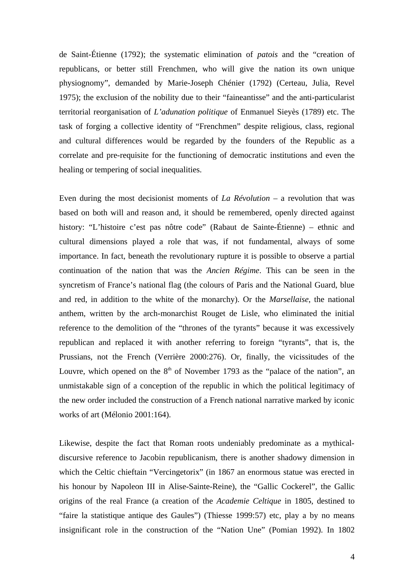de Saint-Étienne (1792); the systematic elimination of *patois* and the "creation of republicans, or better still Frenchmen, who will give the nation its own unique physiognomy", demanded by Marie-Joseph Chénier (1792) (Certeau, Julia, Revel 1975); the exclusion of the nobility due to their "faineantisse" and the anti-particularist territorial reorganisation of *L'adunation politique* of Enmanuel Sieyès (1789) etc. The task of forging a collective identity of "Frenchmen" despite religious, class, regional and cultural differences would be regarded by the founders of the Republic as a correlate and pre-requisite for the functioning of democratic institutions and even the healing or tempering of social inequalities.

Even during the most decisionist moments of *La Révolution* – a revolution that was based on both will and reason and, it should be remembered, openly directed against history: "L'histoire c'est pas nôtre code" (Rabaut de Sainte-Étienne) – ethnic and cultural dimensions played a role that was, if not fundamental, always of some importance. In fact, beneath the revolutionary rupture it is possible to observe a partial continuation of the nation that was the *Ancien Régime*. This can be seen in the syncretism of France's national flag (the colours of Paris and the National Guard, blue and red, in addition to the white of the monarchy). Or the *Marsellaise*, the national anthem, written by the arch-monarchist Rouget de Lisle, who eliminated the initial reference to the demolition of the "thrones of the tyrants" because it was excessively republican and replaced it with another referring to foreign "tyrants", that is, the Prussians, not the French (Verrière 2000:276). Or, finally, the vicissitudes of the Louvre, which opened on the  $8<sup>th</sup>$  of November 1793 as the "palace of the nation", an unmistakable sign of a conception of the republic in which the political legitimacy of the new order included the construction of a French national narrative marked by iconic works of art (Mélonio 2001:164).

Likewise, despite the fact that Roman roots undeniably predominate as a mythicaldiscursive reference to Jacobin republicanism, there is another shadowy dimension in which the Celtic chieftain "Vercingetorix" (in 1867 an enormous statue was erected in his honour by Napoleon III in Alise-Sainte-Reine), the "Gallic Cockerel", the Gallic origins of the real France (a creation of the *Academie Celtique* in 1805, destined to "faire la statistique antique des Gaules") (Thiesse 1999:57) etc, play a by no means insignificant role in the construction of the "Nation Une" (Pomian 1992). In 1802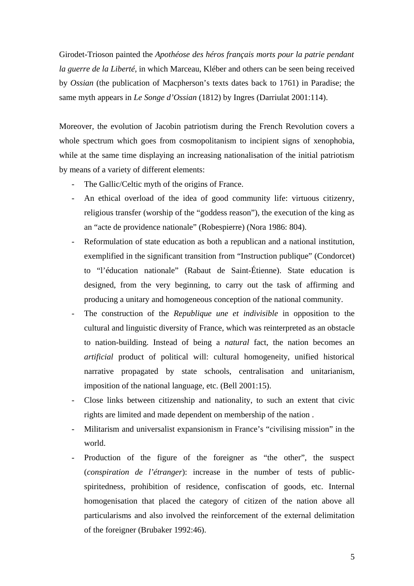Girodet-Trioson painted the *Apothéose des héros français morts pour la patrie pendant la guerre de la Liberté*, in which Marceau, Kléber and others can be seen being received by *Ossian* (the publication of Macpherson's texts dates back to 1761) in Paradise; the same myth appears in *Le Songe d'Ossian* (1812) by Ingres (Darriulat 2001:114).

Moreover, the evolution of Jacobin patriotism during the French Revolution covers a whole spectrum which goes from cosmopolitanism to incipient signs of xenophobia, while at the same time displaying an increasing nationalisation of the initial patriotism by means of a variety of different elements:

- The Gallic/Celtic myth of the origins of France.
- An ethical overload of the idea of good community life: virtuous citizenry, religious transfer (worship of the "goddess reason"), the execution of the king as an "acte de providence nationale" (Robespierre) (Nora 1986: 804).
- Reformulation of state education as both a republican and a national institution, exemplified in the significant transition from "Instruction publique" (Condorcet) to "l'éducation nationale" (Rabaut de Saint-Étienne). State education is designed, from the very beginning, to carry out the task of affirming and producing a unitary and homogeneous conception of the national community.
- The construction of the *Republique une et indivisible* in opposition to the cultural and linguistic diversity of France, which was reinterpreted as an obstacle to nation-building. Instead of being a *natural* fact, the nation becomes an *artificial* product of political will: cultural homogeneity, unified historical narrative propagated by state schools, centralisation and unitarianism, imposition of the national language, etc. (Bell 2001:15).
- Close links between citizenship and nationality, to such an extent that civic rights are limited and made dependent on membership of the nation .
- Militarism and universalist expansionism in France's "civilising mission" in the world.
- Production of the figure of the foreigner as "the other", the suspect (*conspiration de l'étranger*): increase in the number of tests of publicspiritedness, prohibition of residence, confiscation of goods, etc. Internal homogenisation that placed the category of citizen of the nation above all particularisms and also involved the reinforcement of the external delimitation of the foreigner (Brubaker 1992:46).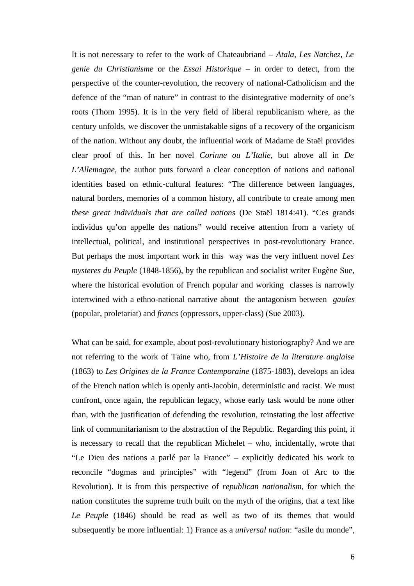It is not necessary to refer to the work of Chateaubriand – *Atala, Les Natchez, Le genie du Christianisme* or the *Essai Historique* – in order to detect, from the perspective of the counter-revolution, the recovery of national-Catholicism and the defence of the "man of nature" in contrast to the disintegrative modernity of one's roots (Thom 1995). It is in the very field of liberal republicanism where, as the century unfolds, we discover the unmistakable signs of a recovery of the organicism of the nation. Without any doubt, the influential work of Madame de Staël provides clear proof of this. In her novel *Corinne ou L'Italie*, but above all in *De L'Allemagne*, the author puts forward a clear conception of nations and national identities based on ethnic-cultural features: "The difference between languages, natural borders, memories of a common history, all contribute to create among men *these great individuals that are called nations* (De Staël 1814:41). "Ces grands individus qu'on appelle des nations" would receive attention from a variety of intellectual, political, and institutional perspectives in post-revolutionary France. But perhaps the most important work in this way was the very influent novel *Les mysteres du Peuple* (1848-1856), by the republican and socialist writer Eugène Sue, where the historical evolution of French popular and working classes is narrowly intertwined with a ethno-national narrative about the antagonism between *gaules*  (popular, proletariat) and *francs* (oppressors, upper-class) (Sue 2003).

What can be said, for example, about post-revolutionary historiography? And we are not referring to the work of Taine who, from *L'Histoire de la literature anglaise*  (1863) to *Les Origines de la France Contemporaine* (1875-1883), develops an idea of the French nation which is openly anti-Jacobin, deterministic and racist. We must confront, once again, the republican legacy, whose early task would be none other than, with the justification of defending the revolution, reinstating the lost affective link of communitarianism to the abstraction of the Republic. Regarding this point, it is necessary to recall that the republican Michelet – who, incidentally, wrote that "Le Dieu des nations a parlé par la France" – explicitly dedicated his work to reconcile "dogmas and principles" with "legend" (from Joan of Arc to the Revolution). It is from this perspective of *republican nationalism*, for which the nation constitutes the supreme truth built on the myth of the origins, that a text like *Le Peuple* (1846) should be read as well as two of its themes that would subsequently be more influential: 1) France as a *universal nation*: "asile du monde",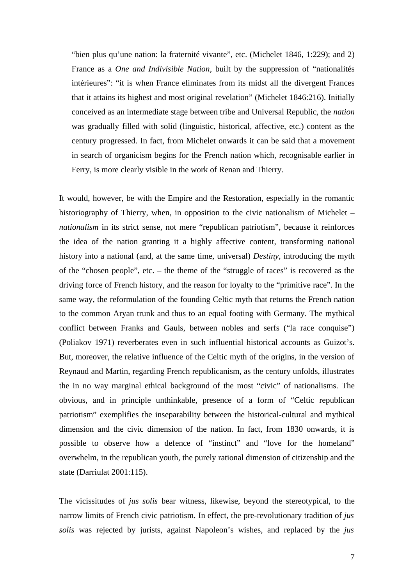"bien plus qu'une nation: la fraternité vivante", etc. (Michelet 1846, 1:229); and 2) France as a *One and Indivisible Nation*, built by the suppression of "nationalités intérieures": "it is when France eliminates from its midst all the divergent Frances that it attains its highest and most original revelation" (Michelet 1846:216). Initially conceived as an intermediate stage between tribe and Universal Republic, the *nation*  was gradually filled with solid (linguistic, historical, affective, etc.) content as the century progressed. In fact, from Michelet onwards it can be said that a movement in search of organicism begins for the French nation which, recognisable earlier in Ferry, is more clearly visible in the work of Renan and Thierry.

It would, however, be with the Empire and the Restoration, especially in the romantic historiography of Thierry, when, in opposition to the civic nationalism of Michelet – *nationalism* in its strict sense, not mere "republican patriotism", because it reinforces the idea of the nation granting it a highly affective content, transforming national history into a national (and, at the same time, universal) *Destiny*, introducing the myth of the "chosen people", etc. – the theme of the "struggle of races" is recovered as the driving force of French history, and the reason for loyalty to the "primitive race". In the same way, the reformulation of the founding Celtic myth that returns the French nation to the common Aryan trunk and thus to an equal footing with Germany. The mythical conflict between Franks and Gauls, between nobles and serfs ("la race conquise") (Poliakov 1971) reverberates even in such influential historical accounts as Guizot's. But, moreover, the relative influence of the Celtic myth of the origins, in the version of Reynaud and Martin, regarding French republicanism, as the century unfolds, illustrates the in no way marginal ethical background of the most "civic" of nationalisms. The obvious, and in principle unthinkable, presence of a form of "Celtic republican patriotism" exemplifies the inseparability between the historical-cultural and mythical dimension and the civic dimension of the nation. In fact, from 1830 onwards, it is possible to observe how a defence of "instinct" and "love for the homeland" overwhelm, in the republican youth, the purely rational dimension of citizenship and the state (Darriulat 2001:115).

The vicissitudes of *jus solis* bear witness, likewise, beyond the stereotypical, to the narrow limits of French civic patriotism. In effect, the pre-revolutionary tradition of *jus solis* was rejected by jurists, against Napoleon's wishes, and replaced by the *jus*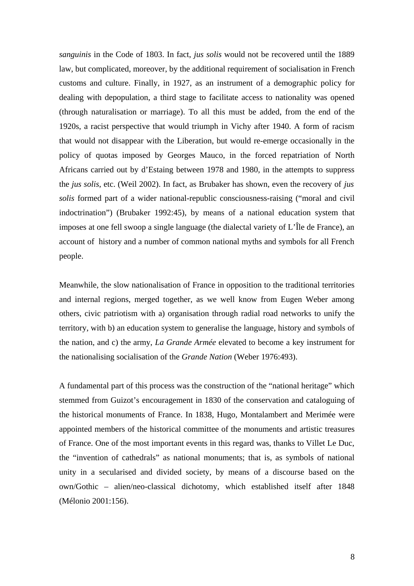*sanguinis* in the Code of 1803. In fact, *jus solis* would not be recovered until the 1889 law, but complicated, moreover, by the additional requirement of socialisation in French customs and culture. Finally, in 1927, as an instrument of a demographic policy for dealing with depopulation, a third stage to facilitate access to nationality was opened (through naturalisation or marriage). To all this must be added, from the end of the 1920s, a racist perspective that would triumph in Vichy after 1940. A form of racism that would not disappear with the Liberation, but would re-emerge occasionally in the policy of quotas imposed by Georges Mauco, in the forced repatriation of North Africans carried out by d'Estaing between 1978 and 1980, in the attempts to suppress the *jus solis*, etc. (Weil 2002). In fact, as Brubaker has shown, even the recovery of *jus solis* formed part of a wider national-republic consciousness-raising ("moral and civil indoctrination") (Brubaker 1992:45), by means of a national education system that imposes at one fell swoop a single language (the dialectal variety of L'Île de France), an account of history and a number of common national myths and symbols for all French people.

Meanwhile, the slow nationalisation of France in opposition to the traditional territories and internal regions, merged together, as we well know from Eugen Weber among others, civic patriotism with a) organisation through radial road networks to unify the territory, with b) an education system to generalise the language, history and symbols of the nation, and c) the army, *La Grande Armée* elevated to become a key instrument for the nationalising socialisation of the *Grande Nation* (Weber 1976:493).

A fundamental part of this process was the construction of the "national heritage" which stemmed from Guizot's encouragement in 1830 of the conservation and cataloguing of the historical monuments of France. In 1838, Hugo, Montalambert and Merimée were appointed members of the historical committee of the monuments and artistic treasures of France. One of the most important events in this regard was, thanks to Villet Le Duc, the "invention of cathedrals" as national monuments; that is, as symbols of national unity in a secularised and divided society, by means of a discourse based on the own/Gothic – alien/neo-classical dichotomy, which established itself after 1848 (Mélonio 2001:156).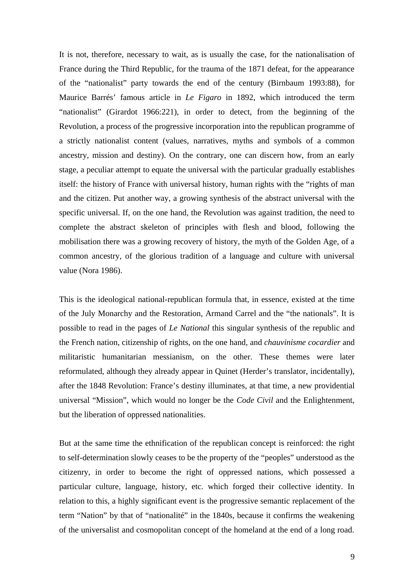It is not, therefore, necessary to wait, as is usually the case, for the nationalisation of France during the Third Republic, for the trauma of the 1871 defeat, for the appearance of the "nationalist" party towards the end of the century (Birnbaum 1993:88), for Maurice Barrés' famous article in *Le Figaro* in 1892, which introduced the term "nationalist" (Girardot 1966:221), in order to detect, from the beginning of the Revolution, a process of the progressive incorporation into the republican programme of a strictly nationalist content (values, narratives, myths and symbols of a common ancestry, mission and destiny). On the contrary, one can discern how, from an early stage, a peculiar attempt to equate the universal with the particular gradually establishes itself: the history of France with universal history, human rights with the "rights of man and the citizen. Put another way, a growing synthesis of the abstract universal with the specific universal. If, on the one hand, the Revolution was against tradition, the need to complete the abstract skeleton of principles with flesh and blood, following the mobilisation there was a growing recovery of history, the myth of the Golden Age, of a common ancestry, of the glorious tradition of a language and culture with universal value (Nora 1986).

This is the ideological national-republican formula that, in essence, existed at the time of the July Monarchy and the Restoration, Armand Carrel and the "the nationals". It is possible to read in the pages of *Le National* this singular synthesis of the republic and the French nation, citizenship of rights, on the one hand, and *chauvinisme cocardier* and militaristic humanitarian messianism, on the other. These themes were later reformulated, although they already appear in Quinet (Herder's translator, incidentally), after the 1848 Revolution: France's destiny illuminates, at that time, a new providential universal "Mission", which would no longer be the *Code Civil* and the Enlightenment, but the liberation of oppressed nationalities.

But at the same time the ethnification of the republican concept is reinforced: the right to self-determination slowly ceases to be the property of the "peoples" understood as the citizenry, in order to become the right of oppressed nations, which possessed a particular culture, language, history, etc. which forged their collective identity. In relation to this, a highly significant event is the progressive semantic replacement of the term "Nation" by that of "nationalité" in the 1840s, because it confirms the weakening of the universalist and cosmopolitan concept of the homeland at the end of a long road.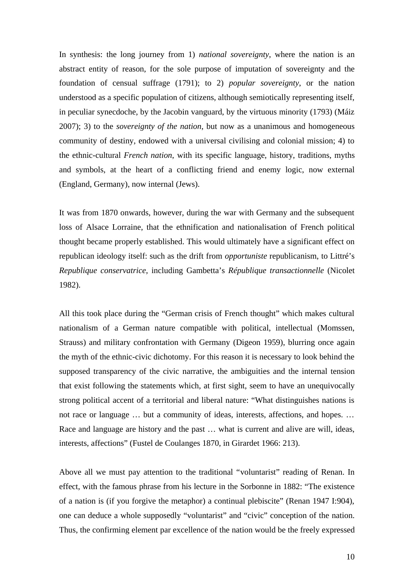In synthesis: the long journey from 1) *national sovereignty*, where the nation is an abstract entity of reason, for the sole purpose of imputation of sovereignty and the foundation of censual suffrage (1791); to 2) *popular sovereignty*, or the nation understood as a specific population of citizens, although semiotically representing itself, in peculiar synecdoche, by the Jacobin vanguard, by the virtuous minority (1793) (Máiz 2007); 3) to the *sovereignty of the nation*, but now as a unanimous and homogeneous community of destiny, endowed with a universal civilising and colonial mission; 4) to the ethnic-cultural *French nation*, with its specific language, history, traditions, myths and symbols, at the heart of a conflicting friend and enemy logic, now external (England, Germany), now internal (Jews).

It was from 1870 onwards, however, during the war with Germany and the subsequent loss of Alsace Lorraine, that the ethnification and nationalisation of French political thought became properly established. This would ultimately have a significant effect on republican ideology itself: such as the drift from *opportuniste* republicanism, to Littré's *Republique conservatrice*, including Gambetta's *République transactionnelle* (Nicolet 1982).

All this took place during the "German crisis of French thought" which makes cultural nationalism of a German nature compatible with political, intellectual (Momssen, Strauss) and military confrontation with Germany (Digeon 1959), blurring once again the myth of the ethnic-civic dichotomy. For this reason it is necessary to look behind the supposed transparency of the civic narrative, the ambiguities and the internal tension that exist following the statements which, at first sight, seem to have an unequivocally strong political accent of a territorial and liberal nature: "What distinguishes nations is not race or language … but a community of ideas, interests, affections, and hopes. … Race and language are history and the past … what is current and alive are will, ideas, interests, affections" (Fustel de Coulanges 1870, in Girardet 1966: 213).

Above all we must pay attention to the traditional "voluntarist" reading of Renan. In effect, with the famous phrase from his lecture in the Sorbonne in 1882: "The existence of a nation is (if you forgive the metaphor) a continual plebiscite" (Renan 1947 I:904), one can deduce a whole supposedly "voluntarist" and "civic" conception of the nation. Thus, the confirming element par excellence of the nation would be the freely expressed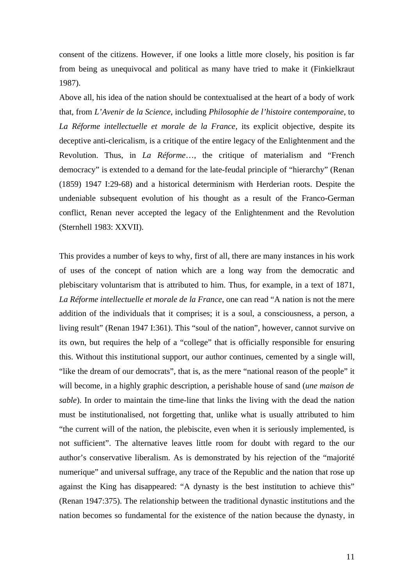consent of the citizens. However, if one looks a little more closely, his position is far from being as unequivocal and political as many have tried to make it (Finkielkraut 1987).

Above all, his idea of the nation should be contextualised at the heart of a body of work that, from *L'Avenir de la Science*, including *Philosophie de l'histoire contemporaine*, to *La Réforme intellectuelle et morale de la France*, its explicit objective, despite its deceptive anti-clericalism, is a critique of the entire legacy of the Enlightenment and the Revolution. Thus, in *La Réforme*…, the critique of materialism and "French democracy" is extended to a demand for the late-feudal principle of "hierarchy" (Renan (1859) 1947 I:29-68) and a historical determinism with Herderian roots. Despite the undeniable subsequent evolution of his thought as a result of the Franco-German conflict, Renan never accepted the legacy of the Enlightenment and the Revolution (Sternhell 1983: XXVII).

This provides a number of keys to why, first of all, there are many instances in his work of uses of the concept of nation which are a long way from the democratic and plebiscitary voluntarism that is attributed to him. Thus, for example, in a text of 1871, *La Réforme intellectuelle et morale de la France*, one can read "A nation is not the mere addition of the individuals that it comprises; it is a soul, a consciousness, a person, a living result" (Renan 1947 I:361). This "soul of the nation", however, cannot survive on its own, but requires the help of a "college" that is officially responsible for ensuring this. Without this institutional support, our author continues, cemented by a single will, "like the dream of our democrats", that is, as the mere "national reason of the people" it will become, in a highly graphic description, a perishable house of sand (*une maison de sable*). In order to maintain the time-line that links the living with the dead the nation must be institutionalised, not forgetting that, unlike what is usually attributed to him "the current will of the nation, the plebiscite, even when it is seriously implemented, is not sufficient". The alternative leaves little room for doubt with regard to the our author's conservative liberalism. As is demonstrated by his rejection of the "majorité numerique" and universal suffrage, any trace of the Republic and the nation that rose up against the King has disappeared: "A dynasty is the best institution to achieve this" (Renan 1947:375). The relationship between the traditional dynastic institutions and the nation becomes so fundamental for the existence of the nation because the dynasty, in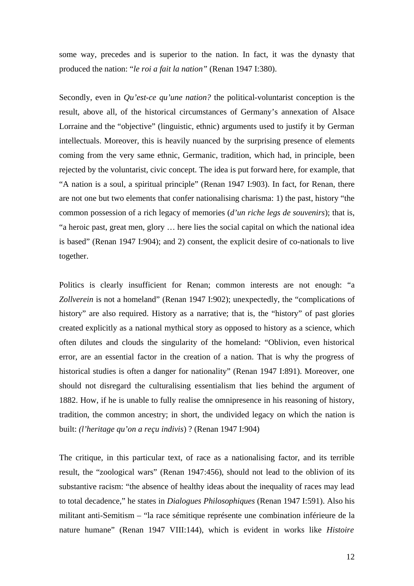some way, precedes and is superior to the nation. In fact, it was the dynasty that produced the nation: "*le roi a fait la nation"* (Renan 1947 I:380).

Secondly, even in *Qu'est-ce qu'une nation?* the political-voluntarist conception is the result, above all, of the historical circumstances of Germany's annexation of Alsace Lorraine and the "objective" (linguistic, ethnic) arguments used to justify it by German intellectuals. Moreover, this is heavily nuanced by the surprising presence of elements coming from the very same ethnic, Germanic, tradition, which had, in principle, been rejected by the voluntarist, civic concept. The idea is put forward here, for example, that "A nation is a soul, a spiritual principle" (Renan 1947 I:903). In fact, for Renan, there are not one but two elements that confer nationalising charisma: 1) the past, history "the common possession of a rich legacy of memories (*d'un riche legs de souvenirs*); that is, "a heroic past, great men, glory … here lies the social capital on which the national idea is based" (Renan 1947 I:904); and 2) consent, the explicit desire of co-nationals to live together.

Politics is clearly insufficient for Renan; common interests are not enough: "a *Zollverein* is not a homeland" (Renan 1947 I:902); unexpectedly, the "complications of history" are also required. History as a narrative; that is, the "history" of past glories created explicitly as a national mythical story as opposed to history as a science, which often dilutes and clouds the singularity of the homeland: "Oblivion, even historical error, are an essential factor in the creation of a nation. That is why the progress of historical studies is often a danger for nationality" (Renan 1947 I:891). Moreover, one should not disregard the culturalising essentialism that lies behind the argument of 1882. How, if he is unable to fully realise the omnipresence in his reasoning of history, tradition, the common ancestry; in short, the undivided legacy on which the nation is built: *(l'heritage qu'on a reçu indivis*) ? (Renan 1947 I:904)

The critique, in this particular text, of race as a nationalising factor, and its terrible result, the "zoological wars" (Renan 1947:456), should not lead to the oblivion of its substantive racism: "the absence of healthy ideas about the inequality of races may lead to total decadence," he states in *Dialogues Philosophiques* (Renan 1947 I:591). Also his militant anti-Semitism – "la race sémitique représente une combination inférieure de la nature humane" (Renan 1947 VIII:144), which is evident in works like *Histoire*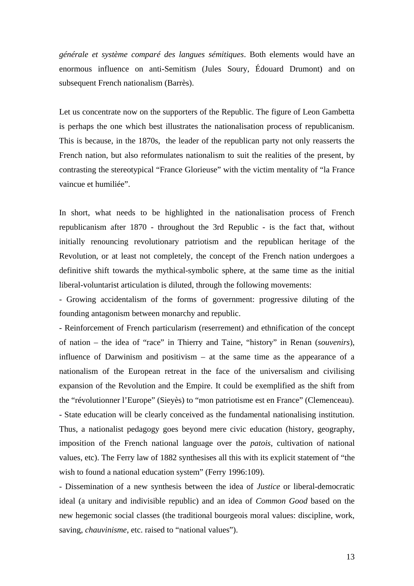*générale et système comparé des langues sémitiques*. Both elements would have an enormous influence on anti-Semitism (Jules Soury, Édouard Drumont) and on subsequent French nationalism (Barrès).

Let us concentrate now on the supporters of the Republic. The figure of Leon Gambetta is perhaps the one which best illustrates the nationalisation process of republicanism. This is because, in the 1870s, the leader of the republican party not only reasserts the French nation, but also reformulates nationalism to suit the realities of the present, by contrasting the stereotypical "France Glorieuse" with the victim mentality of "la France vaincue et humiliée".

In short, what needs to be highlighted in the nationalisation process of French republicanism after 1870 - throughout the 3rd Republic - is the fact that, without initially renouncing revolutionary patriotism and the republican heritage of the Revolution, or at least not completely, the concept of the French nation undergoes a definitive shift towards the mythical-symbolic sphere, at the same time as the initial liberal-voluntarist articulation is diluted, through the following movements:

- Growing accidentalism of the forms of government: progressive diluting of the founding antagonism between monarchy and republic.

- Reinforcement of French particularism (reserrement) and ethnification of the concept of nation – the idea of "race" in Thierry and Taine, "history" in Renan (*souvenirs*), influence of Darwinism and positivism – at the same time as the appearance of a nationalism of the European retreat in the face of the universalism and civilising expansion of the Revolution and the Empire. It could be exemplified as the shift from the "révolutionner l'Europe" (Sieyès) to "mon patriotisme est en France" (Clemenceau). - State education will be clearly conceived as the fundamental nationalising institution. Thus, a nationalist pedagogy goes beyond mere civic education (history, geography, imposition of the French national language over the *patois*, cultivation of national values, etc). The Ferry law of 1882 synthesises all this with its explicit statement of "the wish to found a national education system" (Ferry 1996:109).

- Dissemination of a new synthesis between the idea of *Justice* or liberal-democratic ideal (a unitary and indivisible republic) and an idea of *Common Good* based on the new hegemonic social classes (the traditional bourgeois moral values: discipline, work, saving, *chauvinisme*, etc. raised to "national values").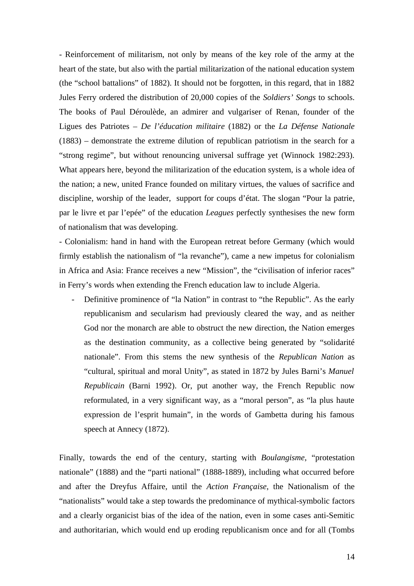- Reinforcement of militarism, not only by means of the key role of the army at the heart of the state, but also with the partial militarization of the national education system (the "school battalions" of 1882). It should not be forgotten, in this regard, that in 1882 Jules Ferry ordered the distribution of 20,000 copies of the *Soldiers' Songs* to schools. The books of Paul Déroulède, an admirer and vulgariser of Renan, founder of the Ligues des Patriotes – *De l'éducation militaire* (1882) or the *La Défense Nationale*  (1883) – demonstrate the extreme dilution of republican patriotism in the search for a "strong regime", but without renouncing universal suffrage yet (Winnock 1982:293). What appears here, beyond the militarization of the education system, is a whole idea of the nation; a new, united France founded on military virtues, the values of sacrifice and discipline, worship of the leader, support for coups d'état. The slogan "Pour la patrie, par le livre et par l'epée" of the education *Leagues* perfectly synthesises the new form of nationalism that was developing.

- Colonialism: hand in hand with the European retreat before Germany (which would firmly establish the nationalism of "la revanche"), came a new impetus for colonialism in Africa and Asia: France receives a new "Mission", the "civilisation of inferior races" in Ferry's words when extending the French education law to include Algeria.

Definitive prominence of "la Nation" in contrast to "the Republic". As the early republicanism and secularism had previously cleared the way, and as neither God nor the monarch are able to obstruct the new direction, the Nation emerges as the destination community, as a collective being generated by "solidarité nationale". From this stems the new synthesis of the *Republican Nation* as "cultural, spiritual and moral Unity", as stated in 1872 by Jules Barni's *Manuel Republicain* (Barni 1992). Or, put another way, the French Republic now reformulated, in a very significant way, as a "moral person", as "la plus haute expression de l'esprit humain", in the words of Gambetta during his famous speech at Annecy (1872).

Finally, towards the end of the century, starting with *Boulangisme*, "protestation nationale" (1888) and the "parti national" (1888-1889), including what occurred before and after the Dreyfus Affaire, until the *Action Française*, the Nationalism of the "nationalists" would take a step towards the predominance of mythical-symbolic factors and a clearly organicist bias of the idea of the nation, even in some cases anti-Semitic and authoritarian, which would end up eroding republicanism once and for all (Tombs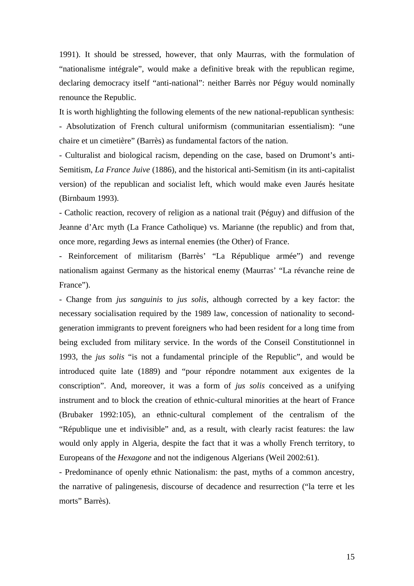1991). It should be stressed, however, that only Maurras, with the formulation of "nationalisme intégrale", would make a definitive break with the republican regime, declaring democracy itself "anti-national": neither Barrès nor Péguy would nominally renounce the Republic.

It is worth highlighting the following elements of the new national-republican synthesis:

- Absolutization of French cultural uniformism (communitarian essentialism): "une chaire et un cimetière" (Barrès) as fundamental factors of the nation.

- Culturalist and biological racism, depending on the case, based on Drumont's anti-Semitism, *La France Juive* (1886), and the historical anti-Semitism (in its anti-capitalist version) of the republican and socialist left, which would make even Jaurés hesitate (Birnbaum 1993).

- Catholic reaction, recovery of religion as a national trait (Péguy) and diffusion of the Jeanne d'Arc myth (La France Catholique) vs. Marianne (the republic) and from that, once more, regarding Jews as internal enemies (the Other) of France.

- Reinforcement of militarism (Barrès' "La République armée") and revenge nationalism against Germany as the historical enemy (Maurras' "La révanche reine de France").

- Change from *jus sanguinis* to *jus solis*, although corrected by a key factor: the necessary socialisation required by the 1989 law, concession of nationality to secondgeneration immigrants to prevent foreigners who had been resident for a long time from being excluded from military service. In the words of the Conseil Constitutionnel in 1993, the *jus solis* "is not a fundamental principle of the Republic", and would be introduced quite late (1889) and "pour répondre notamment aux exigentes de la conscription". And, moreover, it was a form of *jus solis* conceived as a unifying instrument and to block the creation of ethnic-cultural minorities at the heart of France (Brubaker 1992:105), an ethnic-cultural complement of the centralism of the "République une et indivisible" and, as a result, with clearly racist features: the law would only apply in Algeria, despite the fact that it was a wholly French territory, to Europeans of the *Hexagone* and not the indigenous Algerians (Weil 2002:61).

- Predominance of openly ethnic Nationalism: the past, myths of a common ancestry, the narrative of palingenesis, discourse of decadence and resurrection ("la terre et les morts" Barrès).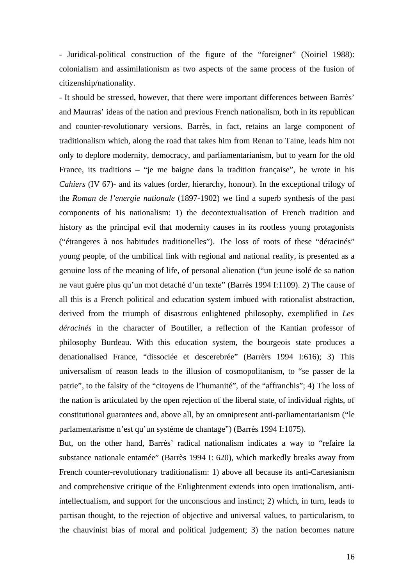- Juridical-political construction of the figure of the "foreigner" (Noiriel 1988): colonialism and assimilationism as two aspects of the same process of the fusion of citizenship/nationality.

- It should be stressed, however, that there were important differences between Barrès' and Maurras' ideas of the nation and previous French nationalism, both in its republican and counter-revolutionary versions. Barrès, in fact, retains an large component of traditionalism which, along the road that takes him from Renan to Taine, leads him not only to deplore modernity, democracy, and parliamentarianism, but to yearn for the old France, its traditions – "je me baigne dans la tradition française", he wrote in his *Cahiers* (IV 67)- and its values (order, hierarchy, honour). In the exceptional trilogy of the *Roman de l'energie nationale* (1897-1902) we find a superb synthesis of the past components of his nationalism: 1) the decontextualisation of French tradition and history as the principal evil that modernity causes in its rootless young protagonists ("étrangeres à nos habitudes traditionelles"). The loss of roots of these "déracinés" young people, of the umbilical link with regional and national reality, is presented as a genuine loss of the meaning of life, of personal alienation ("un jeune isolé de sa nation ne vaut guère plus qu'un mot detaché d'un texte" (Barrès 1994 I:1109). 2) The cause of all this is a French political and education system imbued with rationalist abstraction, derived from the triumph of disastrous enlightened philosophy, exemplified in *Les déracinés* in the character of Boutiller, a reflection of the Kantian professor of philosophy Burdeau. With this education system, the bourgeois state produces a denationalised France, "dissociée et descerebrée" (Barrèrs 1994 I:616); 3) This universalism of reason leads to the illusion of cosmopolitanism, to "se passer de la patrie", to the falsity of the "citoyens de l'humanité", of the "affranchis"; 4) The loss of the nation is articulated by the open rejection of the liberal state, of individual rights, of constitutional guarantees and, above all, by an omnipresent anti-parliamentarianism ("le parlamentarisme n'est qu'un systéme de chantage") (Barrès 1994 I:1075).

But, on the other hand, Barrès' radical nationalism indicates a way to "refaire la substance nationale entamée" (Barrès 1994 I: 620), which markedly breaks away from French counter-revolutionary traditionalism: 1) above all because its anti-Cartesianism and comprehensive critique of the Enlightenment extends into open irrationalism, antiintellectualism, and support for the unconscious and instinct; 2) which, in turn, leads to partisan thought, to the rejection of objective and universal values, to particularism, to the chauvinist bias of moral and political judgement; 3) the nation becomes nature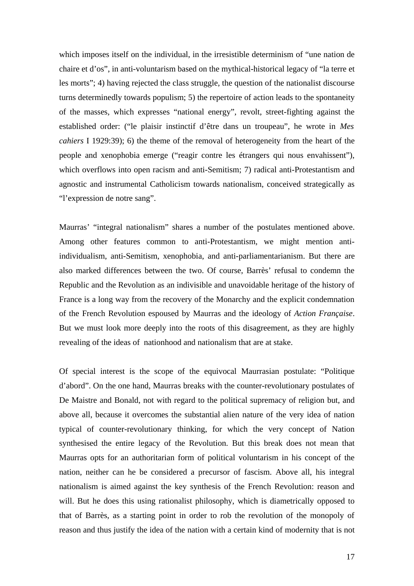which imposes itself on the individual, in the irresistible determinism of "une nation de chaire et d'os", in anti-voluntarism based on the mythical-historical legacy of "la terre et les morts"; 4) having rejected the class struggle, the question of the nationalist discourse turns determinedly towards populism; 5) the repertoire of action leads to the spontaneity of the masses, which expresses "national energy", revolt, street-fighting against the established order: ("le plaisir instinctif d'être dans un troupeau", he wrote in *Mes cahiers* I 1929:39); 6) the theme of the removal of heterogeneity from the heart of the people and xenophobia emerge ("reagir contre les étrangers qui nous envahissent"), which overflows into open racism and anti-Semitism; 7) radical anti-Protestantism and agnostic and instrumental Catholicism towards nationalism, conceived strategically as "l'expression de notre sang".

Maurras' "integral nationalism" shares a number of the postulates mentioned above. Among other features common to anti-Protestantism, we might mention antiindividualism, anti-Semitism, xenophobia, and anti-parliamentarianism. But there are also marked differences between the two. Of course, Barrès' refusal to condemn the Republic and the Revolution as an indivisible and unavoidable heritage of the history of France is a long way from the recovery of the Monarchy and the explicit condemnation of the French Revolution espoused by Maurras and the ideology of *Action Française*. But we must look more deeply into the roots of this disagreement, as they are highly revealing of the ideas of nationhood and nationalism that are at stake.

Of special interest is the scope of the equivocal Maurrasian postulate: "Politique d'abord". On the one hand, Maurras breaks with the counter-revolutionary postulates of De Maistre and Bonald, not with regard to the political supremacy of religion but, and above all, because it overcomes the substantial alien nature of the very idea of nation typical of counter-revolutionary thinking, for which the very concept of Nation synthesised the entire legacy of the Revolution. But this break does not mean that Maurras opts for an authoritarian form of political voluntarism in his concept of the nation, neither can he be considered a precursor of fascism. Above all, his integral nationalism is aimed against the key synthesis of the French Revolution: reason and will. But he does this using rationalist philosophy, which is diametrically opposed to that of Barrès, as a starting point in order to rob the revolution of the monopoly of reason and thus justify the idea of the nation with a certain kind of modernity that is not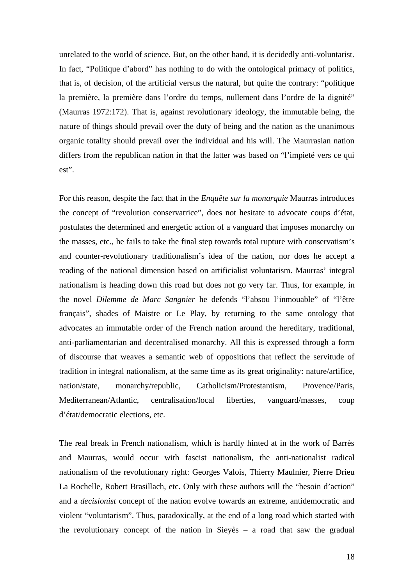unrelated to the world of science. But, on the other hand, it is decidedly anti-voluntarist. In fact, "Politique d'abord" has nothing to do with the ontological primacy of politics, that is, of decision, of the artificial versus the natural, but quite the contrary: "politique la première, la première dans l'ordre du temps, nullement dans l'ordre de la dignité" (Maurras 1972:172). That is, against revolutionary ideology, the immutable being, the nature of things should prevail over the duty of being and the nation as the unanimous organic totality should prevail over the individual and his will. The Maurrasian nation differs from the republican nation in that the latter was based on "l'impieté vers ce qui est".

For this reason, despite the fact that in the *Enquête sur la monarquie* Maurras introduces the concept of "revolution conservatrice", does not hesitate to advocate coups d'état, postulates the determined and energetic action of a vanguard that imposes monarchy on the masses, etc., he fails to take the final step towards total rupture with conservatism's and counter-revolutionary traditionalism's idea of the nation, nor does he accept a reading of the national dimension based on artificialist voluntarism. Maurras' integral nationalism is heading down this road but does not go very far. Thus, for example, in the novel *Dilemme de Marc Sangnier* he defends "l'absou l'inmouable" of "l'être français", shades of Maistre or Le Play, by returning to the same ontology that advocates an immutable order of the French nation around the hereditary, traditional, anti-parliamentarian and decentralised monarchy. All this is expressed through a form of discourse that weaves a semantic web of oppositions that reflect the servitude of tradition in integral nationalism, at the same time as its great originality: nature/artifice, nation/state, monarchy/republic, Catholicism/Protestantism, Provence/Paris, Mediterranean/Atlantic, centralisation/local liberties, vanguard/masses, coup d'état/democratic elections, etc.

The real break in French nationalism, which is hardly hinted at in the work of Barrès and Maurras, would occur with fascist nationalism, the anti-nationalist radical nationalism of the revolutionary right: Georges Valois, Thierry Maulnier, Pierre Drieu La Rochelle, Robert Brasillach, etc. Only with these authors will the "besoin d'action" and a *decisionist* concept of the nation evolve towards an extreme, antidemocratic and violent "voluntarism". Thus, paradoxically, at the end of a long road which started with the revolutionary concept of the nation in Sieyès – a road that saw the gradual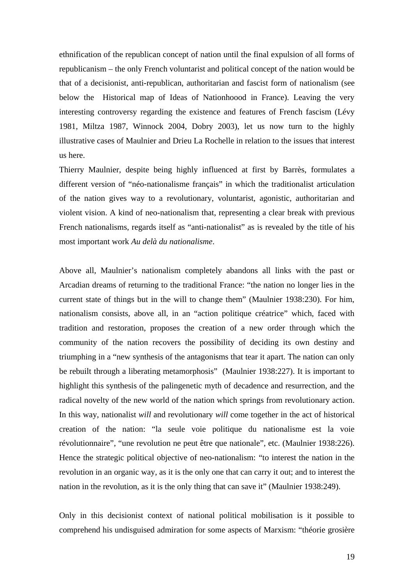ethnification of the republican concept of nation until the final expulsion of all forms of republicanism – the only French voluntarist and political concept of the nation would be that of a decisionist, anti-republican, authoritarian and fascist form of nationalism (see below the Historical map of Ideas of Nationhoood in France). Leaving the very interesting controversy regarding the existence and features of French fascism (Lévy 1981, Miltza 1987, Winnock 2004, Dobry 2003), let us now turn to the highly illustrative cases of Maulnier and Drieu La Rochelle in relation to the issues that interest us here.

Thierry Maulnier, despite being highly influenced at first by Barrès, formulates a different version of "néo-nationalisme français" in which the traditionalist articulation of the nation gives way to a revolutionary, voluntarist, agonistic, authoritarian and violent vision. A kind of neo-nationalism that, representing a clear break with previous French nationalisms, regards itself as "anti-nationalist" as is revealed by the title of his most important work *Au delà du nationalisme*.

Above all, Maulnier's nationalism completely abandons all links with the past or Arcadian dreams of returning to the traditional France: "the nation no longer lies in the current state of things but in the will to change them" (Maulnier 1938:230). For him, nationalism consists, above all, in an "action politique créatrice" which, faced with tradition and restoration, proposes the creation of a new order through which the community of the nation recovers the possibility of deciding its own destiny and triumphing in a "new synthesis of the antagonisms that tear it apart. The nation can only be rebuilt through a liberating metamorphosis" (Maulnier 1938:227). It is important to highlight this synthesis of the palingenetic myth of decadence and resurrection, and the radical novelty of the new world of the nation which springs from revolutionary action. In this way, nationalist *will* and revolutionary *will* come together in the act of historical creation of the nation: "la seule voie politique du nationalisme est la voie révolutionnaire", "une revolution ne peut être que nationale", etc. (Maulnier 1938:226). Hence the strategic political objective of neo-nationalism: "to interest the nation in the revolution in an organic way, as it is the only one that can carry it out; and to interest the nation in the revolution, as it is the only thing that can save it" (Maulnier 1938:249).

Only in this decisionist context of national political mobilisation is it possible to comprehend his undisguised admiration for some aspects of Marxism: "théorie grosière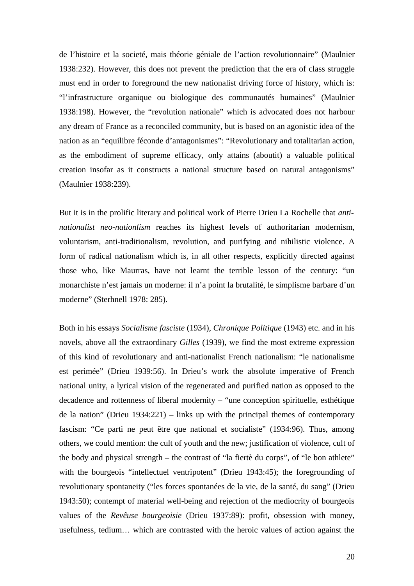de l'histoire et la societé, mais théorie géniale de l'action revolutionnaire" (Maulnier 1938:232). However, this does not prevent the prediction that the era of class struggle must end in order to foreground the new nationalist driving force of history, which is: "l'infrastructure organique ou biologique des communautés humaines" (Maulnier 1938:198). However, the "revolution nationale" which is advocated does not harbour any dream of France as a reconciled community, but is based on an agonistic idea of the nation as an "equilibre féconde d'antagonismes": "Revolutionary and totalitarian action, as the embodiment of supreme efficacy, only attains (aboutit) a valuable political creation insofar as it constructs a national structure based on natural antagonisms" (Maulnier 1938:239).

But it is in the prolific literary and political work of Pierre Drieu La Rochelle that *antinationalist neo-nationlism* reaches its highest levels of authoritarian modernism, voluntarism, anti-traditionalism, revolution, and purifying and nihilistic violence. A form of radical nationalism which is, in all other respects, explicitly directed against those who, like Maurras, have not learnt the terrible lesson of the century: "un monarchiste n'est jamais un moderne: il n'a point la brutalité, le simplisme barbare d'un moderne" (Sterhnell 1978: 285).

Both in his essays *Socialisme fasciste* (1934), *Chronique Politique* (1943) etc. and in his novels, above all the extraordinary *Gilles* (1939), we find the most extreme expression of this kind of revolutionary and anti-nationalist French nationalism: "le nationalisme est perimée" (Drieu 1939:56). In Drieu's work the absolute imperative of French national unity, a lyrical vision of the regenerated and purified nation as opposed to the decadence and rottenness of liberal modernity – "une conception spirituelle, esthétique de la nation" (Drieu 1934:221) – links up with the principal themes of contemporary fascism: "Ce parti ne peut être que national et socialiste" (1934:96). Thus, among others, we could mention: the cult of youth and the new; justification of violence, cult of the body and physical strength – the contrast of "la fiertè du corps", of "le bon athlete" with the bourgeois "intellectuel ventripotent" (Drieu 1943:45); the foregrounding of revolutionary spontaneity ("les forces spontanées de la vie, de la santé, du sang" (Drieu 1943:50); contempt of material well-being and rejection of the mediocrity of bourgeois values of the *Revêuse bourgeoisie* (Drieu 1937:89): profit, obsession with money, usefulness, tedium… which are contrasted with the heroic values of action against the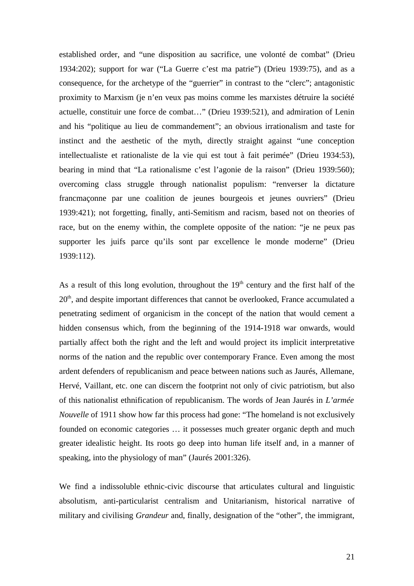established order, and "une disposition au sacrifice, une volonté de combat" (Drieu 1934:202); support for war ("La Guerre c'est ma patrie") (Drieu 1939:75), and as a consequence, for the archetype of the "guerrier" in contrast to the "clerc"; antagonistic proximity to Marxism (je n'en veux pas moins comme les marxistes détruire la société actuelle, constituir une force de combat…" (Drieu 1939:521), and admiration of Lenin and his "politique au lieu de commandement"; an obvious irrationalism and taste for instinct and the aesthetic of the myth, directly straight against "une conception intellectualiste et rationaliste de la vie qui est tout à fait perimée" (Drieu 1934:53), bearing in mind that "La rationalisme c'est l'agonie de la raison" (Drieu 1939:560); overcoming class struggle through nationalist populism: "renverser la dictature francmaçonne par une coalition de jeunes bourgeois et jeunes ouvriers" (Drieu 1939:421); not forgetting, finally, anti-Semitism and racism, based not on theories of race, but on the enemy within, the complete opposite of the nation: "je ne peux pas supporter les juifs parce qu'ils sont par excellence le monde moderne" (Drieu 1939:112).

As a result of this long evolution, throughout the  $19<sup>th</sup>$  century and the first half of the  $20<sup>th</sup>$ , and despite important differences that cannot be overlooked, France accumulated a penetrating sediment of organicism in the concept of the nation that would cement a hidden consensus which, from the beginning of the 1914-1918 war onwards, would partially affect both the right and the left and would project its implicit interpretative norms of the nation and the republic over contemporary France. Even among the most ardent defenders of republicanism and peace between nations such as Jaurés, Allemane, Hervé, Vaillant, etc. one can discern the footprint not only of civic patriotism, but also of this nationalist ethnification of republicanism. The words of Jean Jaurés in *L'armée Nouvelle* of 1911 show how far this process had gone: "The homeland is not exclusively founded on economic categories … it possesses much greater organic depth and much greater idealistic height. Its roots go deep into human life itself and, in a manner of speaking, into the physiology of man" (Jaurés 2001:326).

We find a indissoluble ethnic-civic discourse that articulates cultural and linguistic absolutism, anti-particularist centralism and Unitarianism, historical narrative of military and civilising *Grandeur* and, finally, designation of the "other", the immigrant,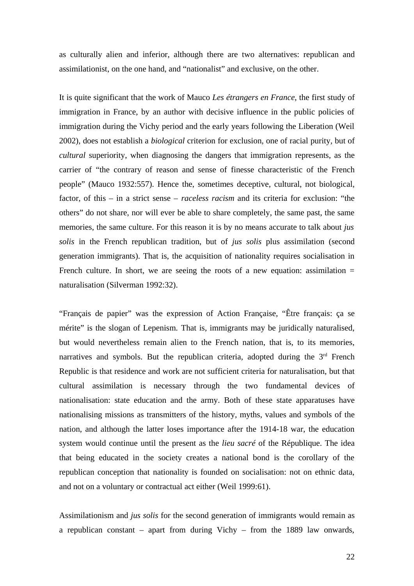as culturally alien and inferior, although there are two alternatives: republican and assimilationist, on the one hand, and "nationalist" and exclusive, on the other.

It is quite significant that the work of Mauco *Les étrangers en France*, the first study of immigration in France, by an author with decisive influence in the public policies of immigration during the Vichy period and the early years following the Liberation (Weil 2002), does not establish a *biological* criterion for exclusion, one of racial purity, but of *cultural* superiority, when diagnosing the dangers that immigration represents, as the carrier of "the contrary of reason and sense of finesse characteristic of the French people" (Mauco 1932:557). Hence the, sometimes deceptive, cultural, not biological, factor, of this – in a strict sense – *raceless racism* and its criteria for exclusion: "the others" do not share, nor will ever be able to share completely, the same past, the same memories, the same culture. For this reason it is by no means accurate to talk about *jus solis* in the French republican tradition, but of *jus solis* plus assimilation (second generation immigrants). That is, the acquisition of nationality requires socialisation in French culture. In short, we are seeing the roots of a new equation: assimilation  $=$ naturalisation (Silverman 1992:32).

"Français de papier" was the expression of Action Française, "Être français: ça se mérite" is the slogan of Lepenism. That is, immigrants may be juridically naturalised, but would nevertheless remain alien to the French nation, that is, to its memories, narratives and symbols. But the republican criteria, adopted during the 3<sup>rd</sup> French Republic is that residence and work are not sufficient criteria for naturalisation, but that cultural assimilation is necessary through the two fundamental devices of nationalisation: state education and the army. Both of these state apparatuses have nationalising missions as transmitters of the history, myths, values and symbols of the nation, and although the latter loses importance after the 1914-18 war, the education system would continue until the present as the *lieu sacré* of the République. The idea that being educated in the society creates a national bond is the corollary of the republican conception that nationality is founded on socialisation: not on ethnic data, and not on a voluntary or contractual act either (Weil 1999:61).

Assimilationism and *jus solis* for the second generation of immigrants would remain as a republican constant – apart from during Vichy – from the 1889 law onwards,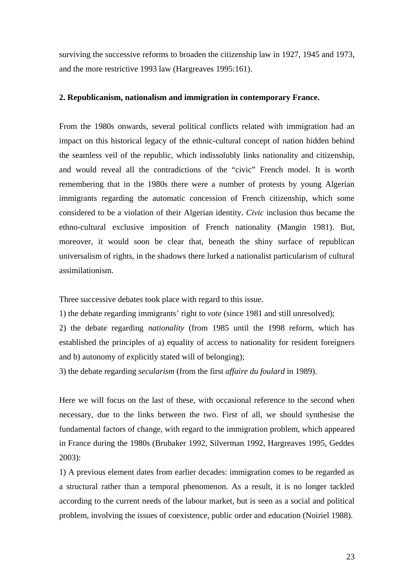surviving the successive reforms to broaden the citizenship law in 1927, 1945 and 1973, and the more restrictive 1993 law (Hargreaves 1995:161).

#### **2. Republicanism, nationalism and immigration in contemporary France.**

From the 1980s onwards, several political conflicts related with immigration had an impact on this historical legacy of the ethnic-cultural concept of nation hidden behind the seamless veil of the republic, which indissolubly links nationality and citizenship, and would reveal all the contradictions of the "civic" French model. It is worth remembering that in the 1980s there were a number of protests by young Algerian immigrants regarding the automatic concession of French citizenship, which some considered to be a violation of their Algerian identity. *Civic* inclusion thus became the ethno-cultural exclusive imposition of French nationality (Mangin 1981). But, moreover, it would soon be clear that, beneath the shiny surface of republican universalism of rights, in the shadows there lurked a nationalist particularism of cultural assimilationism.

Three successive debates took place with regard to this issue.

1) the debate regarding immigrants' right to *vote* (since 1981 and still unresolved);

2) the debate regarding *nationality* (from 1985 until the 1998 reform, which has established the principles of a) equality of access to nationality for resident foreigners and b) autonomy of explicitly stated will of belonging);

3) the debate regarding *secularism* (from the first *affaire du foulard* in 1989).

Here we will focus on the last of these, with occasional reference to the second when necessary, due to the links between the two. First of all, we should synthesise the fundamental factors of change, with regard to the immigration problem, which appeared in France during the 1980s (Brubaker 1992, Silverman 1992, Hargreaves 1995, Geddes 2003):

1) A previous element dates from earlier decades: immigration comes to be regarded as a structural rather than a temporal phenomenon. As a result, it is no longer tackled according to the current needs of the labour market, but is seen as a social and political problem, involving the issues of coexistence, public order and education (Noiriel 1988).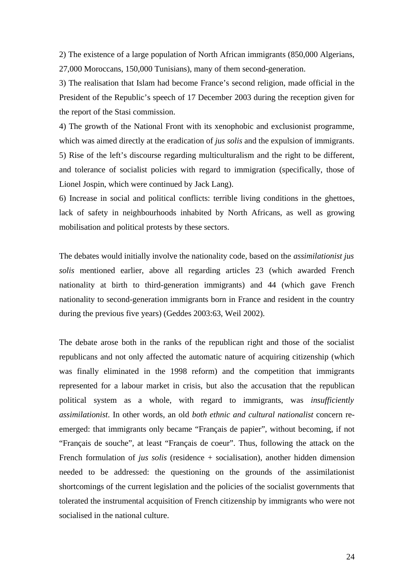2) The existence of a large population of North African immigrants (850,000 Algerians, 27,000 Moroccans, 150,000 Tunisians), many of them second-generation.

3) The realisation that Islam had become France's second religion, made official in the President of the Republic's speech of 17 December 2003 during the reception given for the report of the Stasi commission.

4) The growth of the National Front with its xenophobic and exclusionist programme, which was aimed directly at the eradication of *jus solis* and the expulsion of immigrants. 5) Rise of the left's discourse regarding multiculturalism and the right to be different, and tolerance of socialist policies with regard to immigration (specifically, those of Lionel Jospin, which were continued by Jack Lang).

6) Increase in social and political conflicts: terrible living conditions in the ghettoes, lack of safety in neighbourhoods inhabited by North Africans, as well as growing mobilisation and political protests by these sectors.

The debates would initially involve the nationality code, based on the *assimilationist jus solis* mentioned earlier, above all regarding articles 23 (which awarded French nationality at birth to third-generation immigrants) and 44 (which gave French nationality to second-generation immigrants born in France and resident in the country during the previous five years) (Geddes 2003:63, Weil 2002).

The debate arose both in the ranks of the republican right and those of the socialist republicans and not only affected the automatic nature of acquiring citizenship (which was finally eliminated in the 1998 reform) and the competition that immigrants represented for a labour market in crisis, but also the accusation that the republican political system as a whole, with regard to immigrants, was *insufficiently assimilationist*. In other words, an old *both ethnic and cultural nationalist* concern reemerged: that immigrants only became "Français de papier", without becoming, if not "Français de souche", at least "Français de coeur". Thus, following the attack on the French formulation of *jus solis* (residence + socialisation), another hidden dimension needed to be addressed: the questioning on the grounds of the assimilationist shortcomings of the current legislation and the policies of the socialist governments that tolerated the instrumental acquisition of French citizenship by immigrants who were not socialised in the national culture.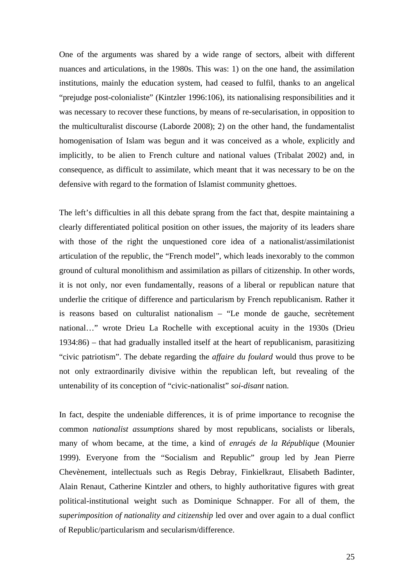One of the arguments was shared by a wide range of sectors, albeit with different nuances and articulations, in the 1980s. This was: 1) on the one hand, the assimilation institutions, mainly the education system, had ceased to fulfil, thanks to an angelical "prejudge post-colonialiste" (Kintzler 1996:106), its nationalising responsibilities and it was necessary to recover these functions, by means of re-secularisation, in opposition to the multiculturalist discourse (Laborde 2008); 2) on the other hand, the fundamentalist homogenisation of Islam was begun and it was conceived as a whole, explicitly and implicitly, to be alien to French culture and national values (Tribalat 2002) and, in consequence, as difficult to assimilate, which meant that it was necessary to be on the defensive with regard to the formation of Islamist community ghettoes.

The left's difficulties in all this debate sprang from the fact that, despite maintaining a clearly differentiated political position on other issues, the majority of its leaders share with those of the right the unquestioned core idea of a nationalist/assimilationist articulation of the republic, the "French model", which leads inexorably to the common ground of cultural monolithism and assimilation as pillars of citizenship. In other words, it is not only, nor even fundamentally, reasons of a liberal or republican nature that underlie the critique of difference and particularism by French republicanism. Rather it is reasons based on culturalist nationalism – "Le monde de gauche, secrètement national…" wrote Drieu La Rochelle with exceptional acuity in the 1930s (Drieu 1934:86) – that had gradually installed itself at the heart of republicanism, parasitizing "civic patriotism". The debate regarding the *affaire du foulard* would thus prove to be not only extraordinarily divisive within the republican left, but revealing of the untenability of its conception of "civic-nationalist" *soi-disant* nation.

In fact, despite the undeniable differences, it is of prime importance to recognise the common *nationalist assumptions* shared by most republicans, socialists or liberals, many of whom became, at the time, a kind of *enragés de la République* (Mounier 1999). Everyone from the "Socialism and Republic" group led by Jean Pierre Chevènement, intellectuals such as Regis Debray, Finkielkraut, Elisabeth Badinter, Alain Renaut, Catherine Kintzler and others, to highly authoritative figures with great political-institutional weight such as Dominique Schnapper. For all of them, the *superimposition of nationality and citizenship* led over and over again to a dual conflict of Republic/particularism and secularism/difference.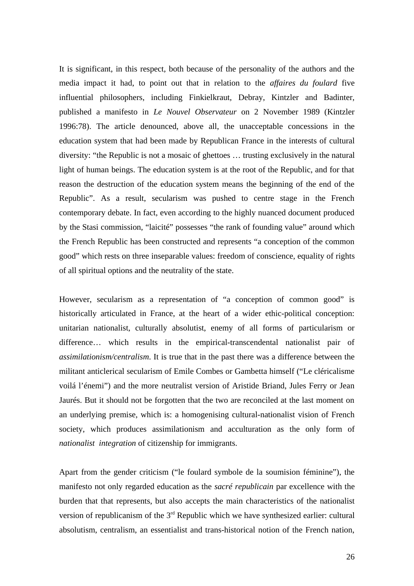It is significant, in this respect, both because of the personality of the authors and the media impact it had, to point out that in relation to the *affaires du foulard* five influential philosophers, including Finkielkraut, Debray, Kintzler and Badinter, published a manifesto in *Le Nouvel Observateur* on 2 November 1989 (Kintzler 1996:78). The article denounced, above all, the unacceptable concessions in the education system that had been made by Republican France in the interests of cultural diversity: "the Republic is not a mosaic of ghettoes … trusting exclusively in the natural light of human beings. The education system is at the root of the Republic, and for that reason the destruction of the education system means the beginning of the end of the Republic". As a result, secularism was pushed to centre stage in the French contemporary debate. In fact, even according to the highly nuanced document produced by the Stasi commission, "laicité" possesses "the rank of founding value" around which the French Republic has been constructed and represents "a conception of the common good" which rests on three inseparable values: freedom of conscience, equality of rights of all spiritual options and the neutrality of the state.

However, secularism as a representation of "a conception of common good" is historically articulated in France, at the heart of a wider ethic-political conception: unitarian nationalist, culturally absolutist, enemy of all forms of particularism or difference… which results in the empirical-transcendental nationalist pair of *assimilationism/centralism*. It is true that in the past there was a difference between the militant anticlerical secularism of Emile Combes or Gambetta himself ("Le cléricalisme voilá l'énemi") and the more neutralist version of Aristide Briand, Jules Ferry or Jean Jaurés. But it should not be forgotten that the two are reconciled at the last moment on an underlying premise, which is: a homogenising cultural-nationalist vision of French society, which produces assimilationism and acculturation as the only form of *nationalist integration* of citizenship for immigrants.

Apart from the gender criticism ("le foulard symbole de la soumision féminine"), the manifesto not only regarded education as the *sacré republicain* par excellence with the burden that that represents, but also accepts the main characteristics of the nationalist version of republicanism of the  $3<sup>rd</sup>$  Republic which we have synthesized earlier: cultural absolutism, centralism, an essentialist and trans-historical notion of the French nation,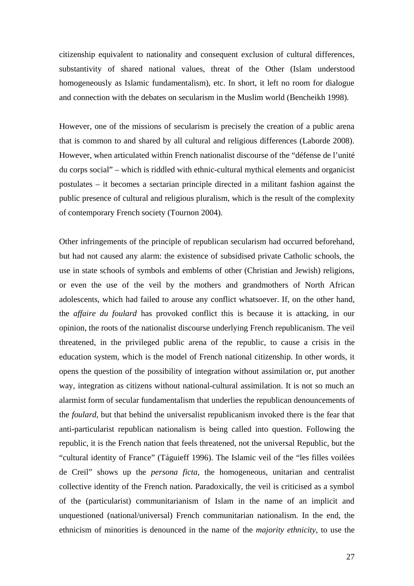citizenship equivalent to nationality and consequent exclusion of cultural differences, substantivity of shared national values, threat of the Other (Islam understood homogeneously as Islamic fundamentalism), etc. In short, it left no room for dialogue and connection with the debates on secularism in the Muslim world (Bencheikh 1998).

However, one of the missions of secularism is precisely the creation of a public arena that is common to and shared by all cultural and religious differences (Laborde 2008). However, when articulated within French nationalist discourse of the "défense de l'unité du corps social" – which is riddled with ethnic-cultural mythical elements and organicist postulates – it becomes a sectarian principle directed in a militant fashion against the public presence of cultural and religious pluralism, which is the result of the complexity of contemporary French society (Tournon 2004).

Other infringements of the principle of republican secularism had occurred beforehand, but had not caused any alarm: the existence of subsidised private Catholic schools, the use in state schools of symbols and emblems of other (Christian and Jewish) religions, or even the use of the veil by the mothers and grandmothers of North African adolescents, which had failed to arouse any conflict whatsoever. If, on the other hand, the *affaire du foulard* has provoked conflict this is because it is attacking, in our opinion, the roots of the nationalist discourse underlying French republicanism. The veil threatened, in the privileged public arena of the republic, to cause a crisis in the education system, which is the model of French national citizenship. In other words, it opens the question of the possibility of integration without assimilation or, put another way, integration as citizens without national-cultural assimilation. It is not so much an alarmist form of secular fundamentalism that underlies the republican denouncements of the *foulard*, but that behind the universalist republicanism invoked there is the fear that anti-particularist republican nationalism is being called into question. Following the republic, it is the French nation that feels threatened, not the universal Republic, but the "cultural identity of France" (Táguieff 1996). The Islamic veil of the "les filles voilées de Creil" shows up the *persona ficta*, the homogeneous, unitarian and centralist collective identity of the French nation. Paradoxically, the veil is criticised as a symbol of the (particularist) communitarianism of Islam in the name of an implicit and unquestioned (national/universal) French communitarian nationalism. In the end, the ethnicism of minorities is denounced in the name of the *majority ethnicity*, to use the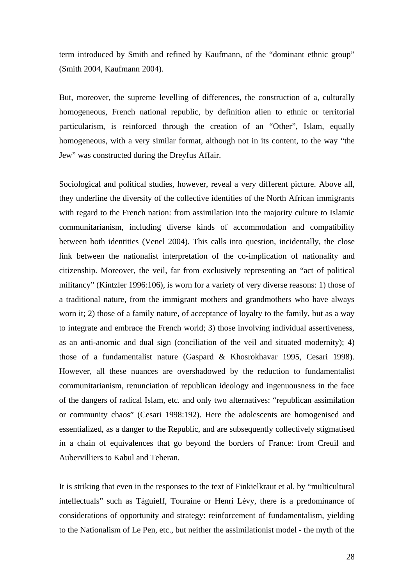term introduced by Smith and refined by Kaufmann, of the "dominant ethnic group" (Smith 2004, Kaufmann 2004).

But, moreover, the supreme levelling of differences, the construction of a, culturally homogeneous, French national republic, by definition alien to ethnic or territorial particularism, is reinforced through the creation of an "Other", Islam, equally homogeneous, with a very similar format, although not in its content, to the way "the Jew" was constructed during the Dreyfus Affair.

Sociological and political studies, however, reveal a very different picture. Above all, they underline the diversity of the collective identities of the North African immigrants with regard to the French nation: from assimilation into the majority culture to Islamic communitarianism, including diverse kinds of accommodation and compatibility between both identities (Venel 2004). This calls into question, incidentally, the close link between the nationalist interpretation of the co-implication of nationality and citizenship. Moreover, the veil, far from exclusively representing an "act of political militancy" (Kintzler 1996:106), is worn for a variety of very diverse reasons: 1) those of a traditional nature, from the immigrant mothers and grandmothers who have always worn it; 2) those of a family nature, of acceptance of loyalty to the family, but as a way to integrate and embrace the French world; 3) those involving individual assertiveness, as an anti-anomic and dual sign (conciliation of the veil and situated modernity); 4) those of a fundamentalist nature (Gaspard & Khosrokhavar 1995, Cesari 1998). However, all these nuances are overshadowed by the reduction to fundamentalist communitarianism, renunciation of republican ideology and ingenuousness in the face of the dangers of radical Islam, etc. and only two alternatives: "republican assimilation or community chaos" (Cesari 1998:192). Here the adolescents are homogenised and essentialized, as a danger to the Republic, and are subsequently collectively stigmatised in a chain of equivalences that go beyond the borders of France: from Creuil and Aubervilliers to Kabul and Teheran.

It is striking that even in the responses to the text of Finkielkraut et al. by "multicultural intellectuals" such as Táguieff, Touraine or Henri Lévy, there is a predominance of considerations of opportunity and strategy: reinforcement of fundamentalism, yielding to the Nationalism of Le Pen, etc., but neither the assimilationist model - the myth of the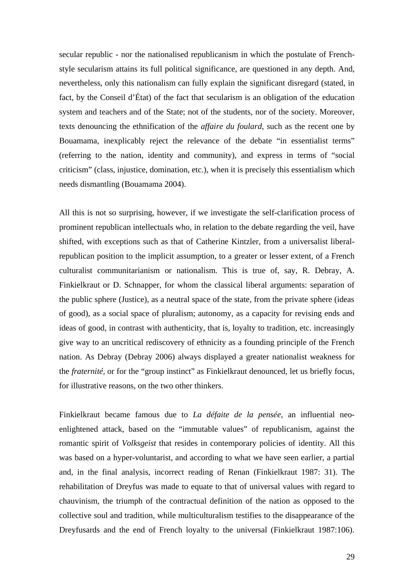secular republic - nor the nationalised republicanism in which the postulate of Frenchstyle secularism attains its full political significance, are questioned in any depth. And, nevertheless, only this nationalism can fully explain the significant disregard (stated, in fact, by the Conseil d'État) of the fact that secularism is an obligation of the education system and teachers and of the State; not of the students, nor of the society. Moreover, texts denouncing the ethnification of the *affaire du foulard*, such as the recent one by Bouamama, inexplicably reject the relevance of the debate "in essentialist terms" (referring to the nation, identity and community), and express in terms of "social criticism" (class, injustice, domination, etc.), when it is precisely this essentialism which needs dismantling (Bouamama 2004).

All this is not so surprising, however, if we investigate the self-clarification process of prominent republican intellectuals who, in relation to the debate regarding the veil, have shifted, with exceptions such as that of Catherine Kintzler, from a universalist liberalrepublican position to the implicit assumption, to a greater or lesser extent, of a French culturalist communitarianism or nationalism. This is true of, say, R. Debray, A. Finkielkraut or D. Schnapper, for whom the classical liberal arguments: separation of the public sphere (Justice), as a neutral space of the state, from the private sphere (ideas of good), as a social space of pluralism; autonomy, as a capacity for revising ends and ideas of good, in contrast with authenticity, that is, loyalty to tradition, etc. increasingly give way to an uncritical rediscovery of ethnicity as a founding principle of the French nation. As Debray (Debray 2006) always displayed a greater nationalist weakness for the *fraternité,* or for the "group instinct" as Finkielkraut denounced, let us briefly focus, for illustrative reasons, on the two other thinkers.

Finkielkraut became famous due to *La défaite de la pensée*, an influential neoenlightened attack, based on the "immutable values" of republicanism, against the romantic spirit of *Volksgeist* that resides in contemporary policies of identity. All this was based on a hyper-voluntarist, and according to what we have seen earlier, a partial and, in the final analysis, incorrect reading of Renan (Finkielkraut 1987: 31). The rehabilitation of Dreyfus was made to equate to that of universal values with regard to chauvinism, the triumph of the contractual definition of the nation as opposed to the collective soul and tradition, while multiculturalism testifies to the disappearance of the Dreyfusards and the end of French loyalty to the universal (Finkielkraut 1987:106).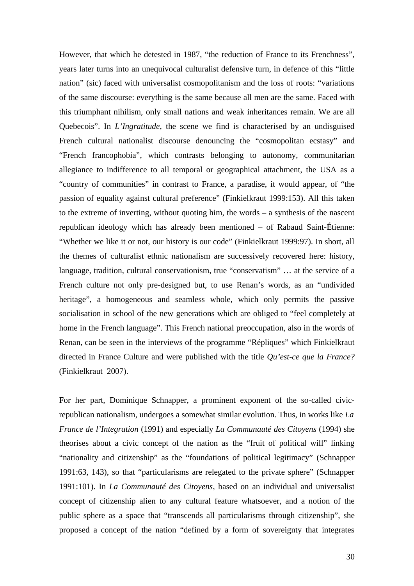However, that which he detested in 1987, "the reduction of France to its Frenchness", years later turns into an unequivocal culturalist defensive turn, in defence of this "little nation" (sic) faced with universalist cosmopolitanism and the loss of roots: "variations of the same discourse: everything is the same because all men are the same. Faced with this triumphant nihilism, only small nations and weak inheritances remain. We are all Quebecois". In *L'Ingratitude*, the scene we find is characterised by an undisguised French cultural nationalist discourse denouncing the "cosmopolitan ecstasy" and "French francophobia", which contrasts belonging to autonomy, communitarian allegiance to indifference to all temporal or geographical attachment, the USA as a "country of communities" in contrast to France, a paradise, it would appear, of "the passion of equality against cultural preference" (Finkielkraut 1999:153). All this taken to the extreme of inverting, without quoting him, the words – a synthesis of the nascent republican ideology which has already been mentioned – of Rabaud Saint-Étienne: "Whether we like it or not, our history is our code" (Finkielkraut 1999:97). In short, all the themes of culturalist ethnic nationalism are successively recovered here: history, language, tradition, cultural conservationism, true "conservatism" … at the service of a French culture not only pre-designed but, to use Renan's words, as an "undivided heritage", a homogeneous and seamless whole, which only permits the passive socialisation in school of the new generations which are obliged to "feel completely at home in the French language". This French national preoccupation, also in the words of Renan, can be seen in the interviews of the programme "Répliques" which Finkielkraut directed in France Culture and were published with the title *Qu'est-ce que la France?*  (Finkielkraut 2007).

For her part, Dominique Schnapper, a prominent exponent of the so-called civicrepublican nationalism, undergoes a somewhat similar evolution. Thus, in works like *La France de l'Integration* (1991) and especially *La Communauté des Citoyens* (1994) she theorises about a civic concept of the nation as the "fruit of political will" linking "nationality and citizenship" as the "foundations of political legitimacy" (Schnapper 1991:63, 143), so that "particularisms are relegated to the private sphere" (Schnapper 1991:101). In *La Communauté des Citoyens*, based on an individual and universalist concept of citizenship alien to any cultural feature whatsoever, and a notion of the public sphere as a space that "transcends all particularisms through citizenship", she proposed a concept of the nation "defined by a form of sovereignty that integrates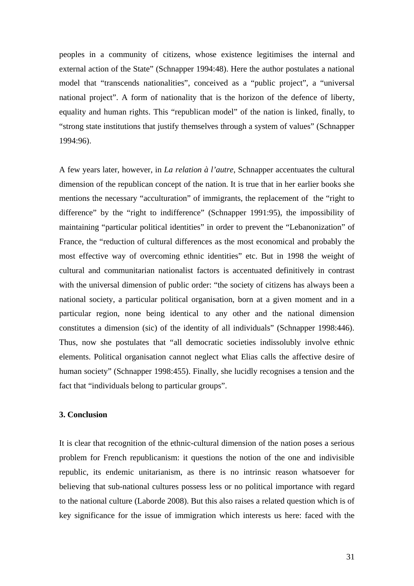peoples in a community of citizens, whose existence legitimises the internal and external action of the State" (Schnapper 1994:48). Here the author postulates a national model that "transcends nationalities", conceived as a "public project", a "universal national project". A form of nationality that is the horizon of the defence of liberty, equality and human rights. This "republican model" of the nation is linked, finally, to "strong state institutions that justify themselves through a system of values" (Schnapper 1994:96).

A few years later, however, in *La relation à l'autre*, Schnapper accentuates the cultural dimension of the republican concept of the nation. It is true that in her earlier books she mentions the necessary "acculturation" of immigrants, the replacement of the "right to difference" by the "right to indifference" (Schnapper 1991:95), the impossibility of maintaining "particular political identities" in order to prevent the "Lebanonization" of France, the "reduction of cultural differences as the most economical and probably the most effective way of overcoming ethnic identities" etc. But in 1998 the weight of cultural and communitarian nationalist factors is accentuated definitively in contrast with the universal dimension of public order: "the society of citizens has always been a national society, a particular political organisation, born at a given moment and in a particular region, none being identical to any other and the national dimension constitutes a dimension (sic) of the identity of all individuals" (Schnapper 1998:446). Thus, now she postulates that "all democratic societies indissolubly involve ethnic elements. Political organisation cannot neglect what Elias calls the affective desire of human society" (Schnapper 1998:455). Finally, she lucidly recognises a tension and the fact that "individuals belong to particular groups".

### **3. Conclusion**

It is clear that recognition of the ethnic-cultural dimension of the nation poses a serious problem for French republicanism: it questions the notion of the one and indivisible republic, its endemic unitarianism, as there is no intrinsic reason whatsoever for believing that sub-national cultures possess less or no political importance with regard to the national culture (Laborde 2008). But this also raises a related question which is of key significance for the issue of immigration which interests us here: faced with the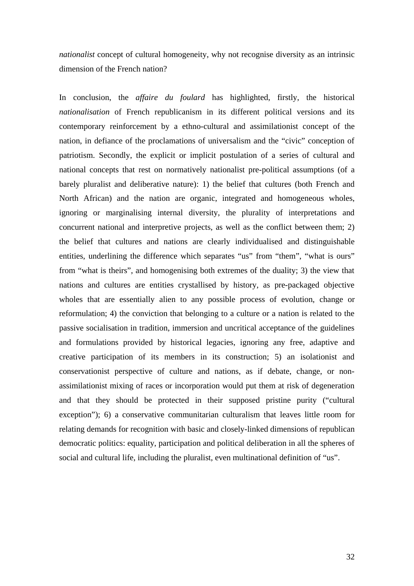*nationalist* concept of cultural homogeneity, why not recognise diversity as an intrinsic dimension of the French nation?

In conclusion, the *affaire du foulard* has highlighted, firstly, the historical *nationalisation* of French republicanism in its different political versions and its contemporary reinforcement by a ethno-cultural and assimilationist concept of the nation, in defiance of the proclamations of universalism and the "civic" conception of patriotism. Secondly, the explicit or implicit postulation of a series of cultural and national concepts that rest on normatively nationalist pre-political assumptions (of a barely pluralist and deliberative nature): 1) the belief that cultures (both French and North African) and the nation are organic, integrated and homogeneous wholes, ignoring or marginalising internal diversity, the plurality of interpretations and concurrent national and interpretive projects, as well as the conflict between them; 2) the belief that cultures and nations are clearly individualised and distinguishable entities, underlining the difference which separates "us" from "them", "what is ours" from "what is theirs", and homogenising both extremes of the duality; 3) the view that nations and cultures are entities crystallised by history, as pre-packaged objective wholes that are essentially alien to any possible process of evolution, change or reformulation; 4) the conviction that belonging to a culture or a nation is related to the passive socialisation in tradition, immersion and uncritical acceptance of the guidelines and formulations provided by historical legacies, ignoring any free, adaptive and creative participation of its members in its construction; 5) an isolationist and conservationist perspective of culture and nations, as if debate, change, or nonassimilationist mixing of races or incorporation would put them at risk of degeneration and that they should be protected in their supposed pristine purity ("cultural exception"); 6) a conservative communitarian culturalism that leaves little room for relating demands for recognition with basic and closely-linked dimensions of republican democratic politics: equality, participation and political deliberation in all the spheres of social and cultural life, including the pluralist, even multinational definition of "us".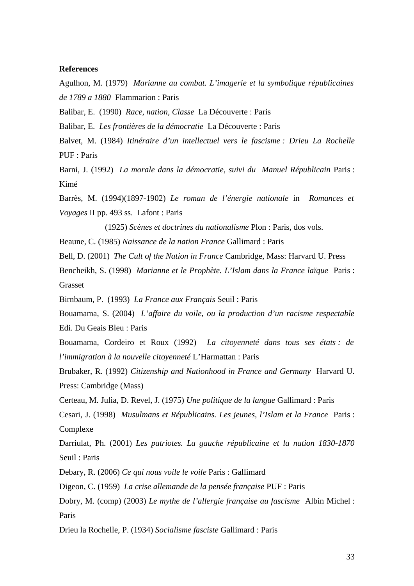#### **References**

Agulhon, M. (1979) *Marianne au combat. L'imagerie et la symbolique républicaines de 1789 a 1880* Flammarion : Paris

Balibar, E. (1990) *Race, nation, Classe* La Découverte : Paris

Balibar, E. *Les frontières de la démocratie* La Découverte : Paris

Balvet, M. (1984) *Itinéraire d'un intellectuel vers le fascisme : Drieu La Rochelle*  PUF : Paris

Barni, J. (1992) *La morale dans la démocratie, suivi du Manuel Républicain* Paris : Kimé

Barrès, M. (1994)(1897-1902) *Le roman de l'énergie nationale* in *Romances et Voyages* II pp. 493 ss. Lafont : Paris

(1925) *Scènes et doctrines du nationalisme* Plon : Paris, dos vols.

Beaune, C. (1985) *Naissance de la nation France* Gallimard : Paris

Bell, D. (2001) *The Cult of the Nation in France* Cambridge, Mass: Harvard U. Press

Bencheikh, S. (1998) *Marianne et le Prophète. L'Islam dans la France laïque* Paris : Grasset

Birnbaum, P. (1993) *La France aux Français* Seuil : Paris

Bouamama, S. (2004) *L'affaire du voile, ou la production d'un racisme respectable*  Edi. Du Geais Bleu : Paris

Bouamama, Cordeiro et Roux (1992) *La citoyenneté dans tous ses états : de l'immigration à la nouvelle citoyenneté* L'Harmattan : Paris

Brubaker, R. (1992) *Citizenship and Nationhood in France and Germany* Harvard U. Press: Cambridge (Mass)

Certeau, M. Julia, D. Revel, J. (1975) *Une politique de la langue* Gallimard : Paris

Cesari, J. (1998) *Musulmans et Républicains. Les jeunes, l'Islam et la France* Paris : Complexe

Darriulat, Ph. (2001) *Les patriotes. La gauche républicaine et la nation 1830-1870*  Seuil : Paris

Debary, R. (2006) *Ce qui nous voile le voile* Paris : Gallimard

Digeon, C. (1959) *La crise allemande de la pensée française* PUF : Paris

Dobry, M. (comp) (2003) *Le mythe de l'allergie française au fascisme* Albin Michel : Paris

Drieu la Rochelle, P. (1934) *Socialisme fasciste* Gallimard : Paris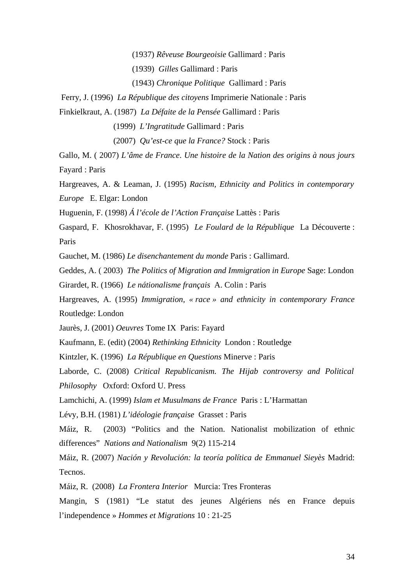(1937) *Rêveuse Bourgeoisie* Gallimard : Paris

(1939) *Gilles* Gallimard : Paris

(1943) *Chronique Politique* Gallimard : Paris

Ferry, J. (1996) *La République des citoyens* Imprimerie Nationale : Paris

Finkielkraut, A. (1987) *La Défaite de la Pensée* Gallimard : Paris

(1999) *L'Ingratitude* Gallimard : Paris

(2007) *Qu'est-ce que la France?* Stock : Paris

Gallo, M. ( 2007) *L'âme de France*. *Une histoire de la Nation des origins à nous jours*  Fayard : Paris

Hargreaves, A. & Leaman, J. (1995) *Racism, Ethnicity and Politics in contemporary Europe* E. Elgar: London

Huguenin, F. (1998) *Á l'école de l'Action Française* Lattès : Paris

Gaspard, F. Khosrokhavar, F. (1995) *Le Foulard de la République* La Découverte : Paris

Gauchet, M. (1986) *Le disenchantement du monde* Paris : Gallimard.

Geddes, A. ( 2003) *The Politics of Migration and Immigration in Europe* Sage: London

Girardet, R. (1966) *Le nátionalisme français* A. Colin : Paris

Hargreaves, A. (1995) *Immigration, « race » and ethnicity in contemporary France*  Routledge: London

Jaurès, J. (2001) *Oeuvres* Tome IX Paris: Fayard

Kaufmann, E. (edit) (2004) *Rethinking Ethnicity* London : Routledge

Kintzler, K. (1996) *La République en Questions* Minerve : Paris

Laborde, C. (2008) *Critical Republicanism. The Hijab controversy and Political Philosophy* Oxford: Oxford U. Press

Lamchichi, A. (1999) *Islam et Musulmans de France* Paris : L'Harmattan

Lévy, B.H. (1981) *L'idéologie française* Grasset : Paris

Máiz, R. (2003) "Politics and the Nation. Nationalist mobilization of ethnic differences" *Nations and Nationalism* 9(2) 115-214

Máiz, R. (2007) *Nación y Revolución: la teoría política de Emmanuel Sieyès* Madrid: Tecnos.

Máiz, R. (2008) *La Frontera Interior* Murcia: Tres Fronteras

Mangin, S (1981) "Le statut des jeunes Algériens nés en France depuis l'independence » *Hommes et Migrations* 10 : 21-25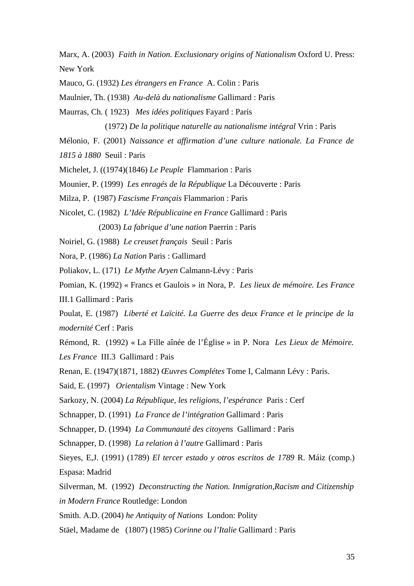Marx, A. (2003) *Faith in Nation. Exclusionary origins of Nationalism* Oxford U. Press: New York

Mauco, G. (1932) *Les étrangers en France* A. Colin : Paris

Maulnier, Th. (1938) *Au-delà du nationalisme* Gallimard : Paris

Maurras, Ch. ( 1923) *Mes idées politiques* Fayard : Paris

(1972) *De la politique naturelle au nationalisme intégral* Vrin : Paris

Mélonio, F. (2001) *Naissance et affirmation d'une culture nationale. La France de* 

*1815 à 1880* Seuil : Paris

Michelet, J. ((1974)(1846) *Le Peuple* Flammarion : Paris

Mounier, P. (1999) *Les enragés de la République* La Découverte : Paris

Milza, P. (1987) *Fascisme Français* Flammarion : Paris

Nicolet, C. (1982) *L'Idée Républicaine en France* Gallimard : Paris

(2003) *La fabrique d'une nation* Paerrin : Paris

Noiriel, G. (1988) *Le creuset français* Seuil : Paris

Nora, P. (1986) *La Nation* Paris : Gallimard

Poliakov, L. (171) *Le Mythe Aryen* Calmann-Lévy : Paris

Pomian, K. (1992) « Francs et Gaulois » in Nora, P. *Les lieux de mémoire. Les France*  III.1 Gallimard : Paris

Poulat, E. (1987) *Liberté et Laïcité. La Guerre des deux France et le principe de la modernité* Cerf : Paris

Rémond, R. (1992) « La Fille aînée de l'Église » in P. Nora *Les Lieux de Mémoire. Les France* III.3 Gallimard : Pais

Renan, E. (1947)(1871, 1882) *Œuvres Complétes* Tome I, Calmann Lévy : Paris.

Said, E. (1997) *Orientalism* Vintage : New York

Sarkozy, N. (2004) *La République, les religions, l'espérance* Paris : Cerf

Schnapper, D. (1991) *La France de l'intégration* Gallimard : Paris

Schnapper, D. (1994) *La Communauté des citoyens* Gallimard : Paris

Schnapper, D. (1998) *La relation à l'autre* Gallimard : Paris

Sieyes, E,J. (1991) (1789) *El tercer estado y otros escritos de 1789* R. Máiz (comp.) Espasa: Madrid

Silverman, M. (1992) *Deconstructing the Nation. Inmigration,Racism and Citizenship in Modern France* Routledge: London

Smith. A.D. (2004) *he Antiquity of Nations* London: Polity

Stäel, Madame de (1807) (1985) *Corinne ou l'Italie* Gallimard : Paris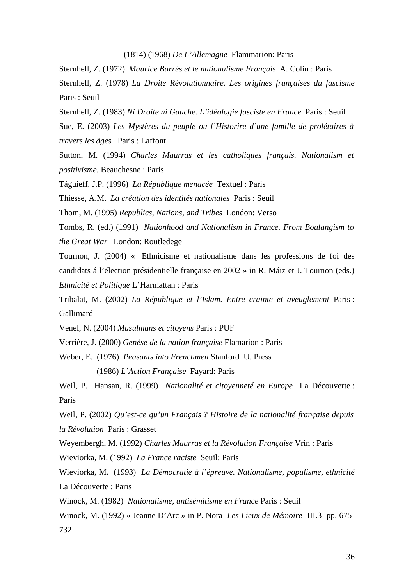(1814) (1968) *De L'Allemagne* Flammarion: Paris

Sternhell, Z. (1972) *Maurice Barrés et le nationalisme Français* A. Colin : Paris

Sternhell, Z. (1978) *La Droite Révolutionnaire. Les origines françaises du fascisme*  Paris : Seuil

Sternhell, Z. (1983) *Ni Droite ni Gauche. L'idéologie fasciste en France* Paris : Seuil

Sue, E. (2003) *Les Mystères du peuple ou l'Historire d'une famille de prolétaires à travers les âges* Paris : Laffont

Sutton, M. (1994) *Charles Maurras et les catholiques français. Nationalism et positivisme.* Beauchesne : Paris

Táguieff, J.P. (1996) *La République menacée* Textuel : Paris

Thiesse, A.M. *La création des identités nationales* Paris : Seuil

Thom, M. (1995) *Republics, Nations, and Tribes* London: Verso

Tombs, R. (ed.) (1991) *Nationhood and Nationalism in France. From Boulangism to the Great War* London: Routledege

Tournon, J. (2004) « Ethnicisme et nationalisme dans les professions de foi des candidats á l'élection présidentielle française en 2002 » in R. Máiz et J. Tournon (eds.) *Ethnicité et Politique* L'Harmattan : Paris

Tribalat, M. (2002) *La République et l'Islam. Entre crainte et aveuglement* Paris : Gallimard

Venel, N. (2004) *Musulmans et citoyens* Paris : PUF

Verrière, J. (2000) *Genèse de la nation française* Flamarion : Paris

Weber, E. (1976) *Peasants into Frenchmen* Stanford U. Press

(1986) *L'Action Française* Fayard: Paris

Weil, P. Hansan, R. (1999) *Nationalité et citoyenneté en Europe* La Découverte : Paris

Weil, P. (2002) *Qu'est-ce qu'un Français ? Histoire de la nationalité française depuis la Révolution* Paris : Grasset

Weyembergh, M. (1992) *Charles Maurras et la Révolution Française* Vrin : Paris

Wieviorka, M. (1992) *La France raciste* Seuil: Paris

Wieviorka, M. (1993) *La Démocratie à l'épreuve. Nationalisme, populisme, ethnicité*  La Découverte : Paris

Winock, M. (1982) *Nationalisme, antisémitisme en France* Paris : Seuil

Winock, M. (1992) « Jeanne D'Arc » in P. Nora *Les Lieux de Mémoire* III.3 pp. 675- 732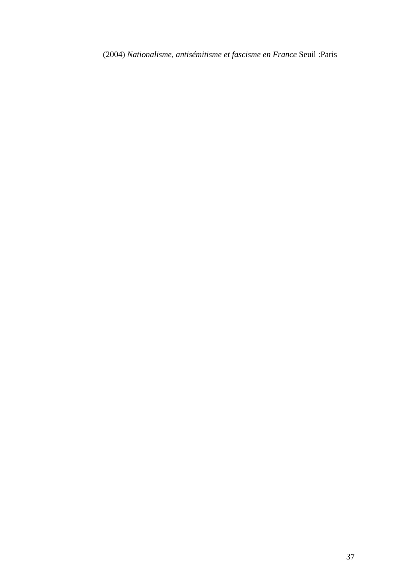(2004) *Nationalisme, antisémitisme et fascisme en France* Seuil :Paris